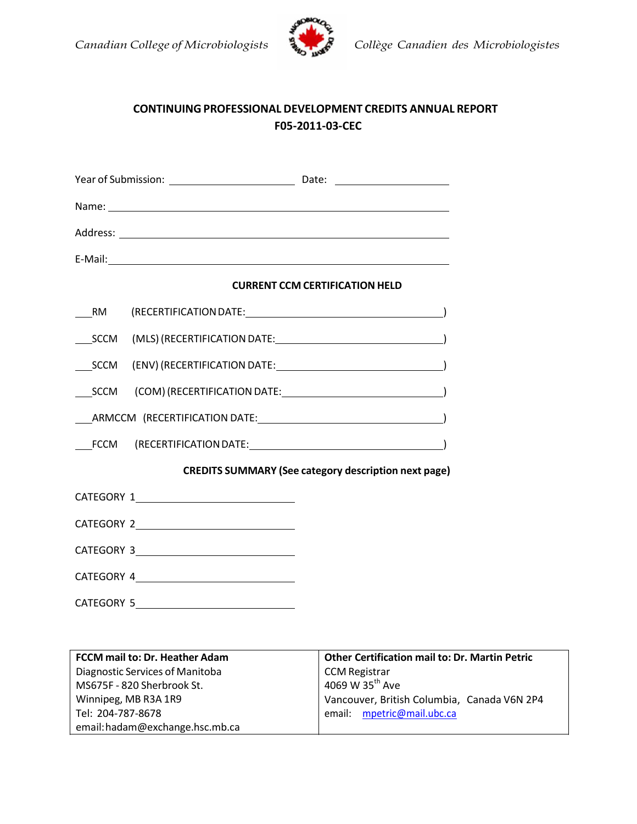



## **CONTINUING PROFESSIONAL DEVELOPMENT CREDITS ANNUAL REPORT F05‐2011‐03‐CEC**

|                                                             | <b>CURRENT CCM CERTIFICATION HELD</b> |  |  |
|-------------------------------------------------------------|---------------------------------------|--|--|
| <b>RM</b>                                                   |                                       |  |  |
| SCCM                                                        |                                       |  |  |
|                                                             |                                       |  |  |
| <b>SCCM</b>                                                 |                                       |  |  |
|                                                             |                                       |  |  |
| <b>FCCM</b>                                                 |                                       |  |  |
| <b>CREDITS SUMMARY (See category description next page)</b> |                                       |  |  |
|                                                             | CATEGORY 1                            |  |  |
|                                                             |                                       |  |  |
|                                                             |                                       |  |  |
|                                                             | CATEGORY 4                            |  |  |
|                                                             |                                       |  |  |

| FCCM mail to: Dr. Heather Adam  | <b>Other Certification mail to: Dr. Martin Petric</b> |  |
|---------------------------------|-------------------------------------------------------|--|
| Diagnostic Services of Manitoba | <b>CCM Registrar</b>                                  |  |
| MS675F - 820 Sherbrook St.      | 4069 W 35 <sup>th</sup> Ave                           |  |
| Winnipeg, MB R3A 1R9            | Vancouver, British Columbia, Canada V6N 2P4           |  |
| Tel: 204-787-8678               | email: mpetric@mail.ubc.ca                            |  |
| email: hadam@exchange.hsc.mb.ca |                                                       |  |